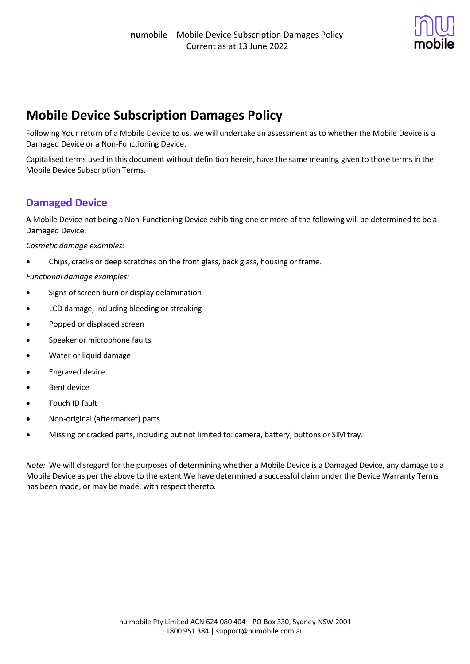

# **Mobile Device Subscription Damages Policy**

Following Your return of a Mobile Device to us, we will undertake an assessment as to whether the Mobile Device is a Damaged Device or a Non-Functioning Device.

Capitalised terms used in this document without definition herein, have the same meaning given to those terms in the Mobile Device Subscription Terms.

## **Damaged Device**

A Mobile Device not being a Non-Functioning Device exhibiting one or more of the following will be determined to be a Damaged Device:

*Cosmetic damage examples:*

• Chips, cracks or deep scratches on the front glass, back glass, housing or frame.

*Functional damage examples:*

- Signs of screen burn or display delamination
- LCD damage, including bleeding or streaking
- Popped or displaced screen
- Speaker or microphone faults
- Water or liquid damage
- Engraved device
- Bent device
- Touch ID fault
- Non-original (aftermarket) parts
- Missing or cracked parts, including but not limited to: camera, battery, buttons or SIM tray.

*Note:* We will disregard for the purposes of determining whether a Mobile Device is a Damaged Device, any damage to a Mobile Device as per the above to the extent We have determined a successful claim under the Device Warranty Terms has been made, or may be made, with respect thereto.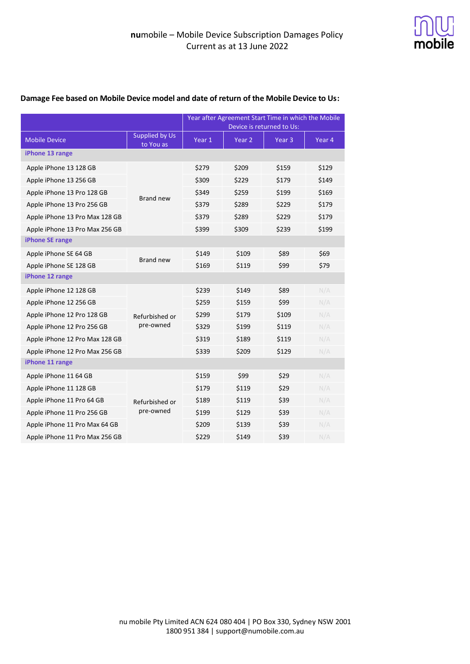

|                                |                             | Year after Agreement Start Time in which the Mobile |        |                   |        |  |  |
|--------------------------------|-----------------------------|-----------------------------------------------------|--------|-------------------|--------|--|--|
|                                |                             | Device is returned to Us:                           |        |                   |        |  |  |
| <b>Mobile Device</b>           | Supplied by Us<br>to You as | Year 1                                              | Year 2 | Year <sub>3</sub> | Year 4 |  |  |
| iPhone 13 range                |                             |                                                     |        |                   |        |  |  |
| Apple iPhone 13 128 GB         | <b>Brand new</b>            | \$279                                               | \$209  | \$159             | \$129  |  |  |
| Apple iPhone 13 256 GB         |                             | \$309                                               | \$229  | \$179             | \$149  |  |  |
| Apple iPhone 13 Pro 128 GB     |                             | \$349                                               | \$259  | \$199             | \$169  |  |  |
| Apple iPhone 13 Pro 256 GB     |                             | \$379                                               | \$289  | \$229             | \$179  |  |  |
| Apple iPhone 13 Pro Max 128 GB |                             | \$379                                               | \$289  | \$229             | \$179  |  |  |
| Apple iPhone 13 Pro Max 256 GB |                             | \$399                                               | \$309  | \$239             | \$199  |  |  |
| iPhone SE range                |                             |                                                     |        |                   |        |  |  |
| Apple iPhone SE 64 GB          | <b>Brand new</b>            | \$149                                               | \$109  | \$89              | \$69   |  |  |
| Apple iPhone SE 128 GB         |                             | \$169                                               | \$119  | \$99              | \$79   |  |  |
| iPhone 12 range                |                             |                                                     |        |                   |        |  |  |
| Apple iPhone 12 128 GB         | Refurbished or<br>pre-owned | \$239                                               | \$149  | \$89              | N/A    |  |  |
| Apple iPhone 12 256 GB         |                             | \$259                                               | \$159  | \$99              | N/A    |  |  |
| Apple iPhone 12 Pro 128 GB     |                             | \$299                                               | \$179  | \$109             | N/A    |  |  |
| Apple iPhone 12 Pro 256 GB     |                             | \$329                                               | \$199  | \$119             | N/A    |  |  |
| Apple iPhone 12 Pro Max 128 GB |                             | \$319                                               | \$189  | \$119             | N/A    |  |  |
| Apple iPhone 12 Pro Max 256 GB |                             | \$339                                               | \$209  | \$129             | N/A    |  |  |
| iPhone 11 range                |                             |                                                     |        |                   |        |  |  |
| Apple iPhone 11 64 GB          | Refurbished or<br>pre-owned | \$159                                               | \$99   | \$29              | N/A    |  |  |
| Apple iPhone 11 128 GB         |                             | \$179                                               | \$119  | \$29              | N/A    |  |  |
| Apple iPhone 11 Pro 64 GB      |                             | \$189                                               | \$119  | \$39              | N/A    |  |  |
| Apple iPhone 11 Pro 256 GB     |                             | \$199                                               | \$129  | \$39              | N/A    |  |  |
| Apple iPhone 11 Pro Max 64 GB  |                             | \$209                                               | \$139  | \$39              | N/A    |  |  |
| Apple iPhone 11 Pro Max 256 GB |                             | \$229                                               | \$149  | \$39              | N/A    |  |  |

#### **Damage Fee based on Mobile Device model and date of return of the Mobile Device to Us:**